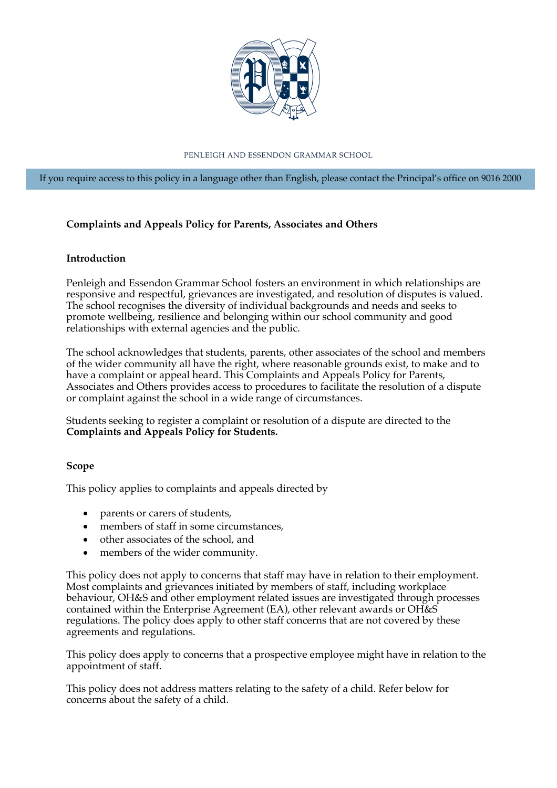

PENLEIGH AND ESSENDON GRAMMAR SCHOOL

If you require access to this policy in a language other than English, please contact the Principal's office on 9016 2000

# **Complaints and Appeals Policy for Parents, Associates and Others**

#### **Introduction**

Penleigh and Essendon Grammar School fosters an environment in which relationships are responsive and respectful, grievances are investigated, and resolution of disputes is valued. The school recognises the diversity of individual backgrounds and needs and seeks to promote wellbeing, resilience and belonging within our school community and good relationships with external agencies and the public.

The school acknowledges that students, parents, other associates of the school and members of the wider community all have the right, where reasonable grounds exist, to make and to have a complaint or appeal heard. This Complaints and Appeals Policy for Parents, Associates and Others provides access to procedures to facilitate the resolution of a dispute or complaint against the school in a wide range of circumstances.

Students seeking to register a complaint or resolution of a dispute are directed to the **Complaints and Appeals Policy for Students.**

# **Scope**

This policy applies to complaints and appeals directed by

- parents or carers of students,
- members of staff in some circumstances,
- other associates of the school, and
- members of the wider community.

This policy does not apply to concerns that staff may have in relation to their employment. Most complaints and grievances initiated by members of staff, including workplace behaviour, OH&S and other employment related issues are investigated through processes contained within the Enterprise Agreement (EA), other relevant awards or OH&S regulations. The policy does apply to other staff concerns that are not covered by these agreements and regulations.

This policy does apply to concerns that a prospective employee might have in relation to the appointment of staff.

This policy does not address matters relating to the safety of a child. Refer below for concerns about the safety of a child.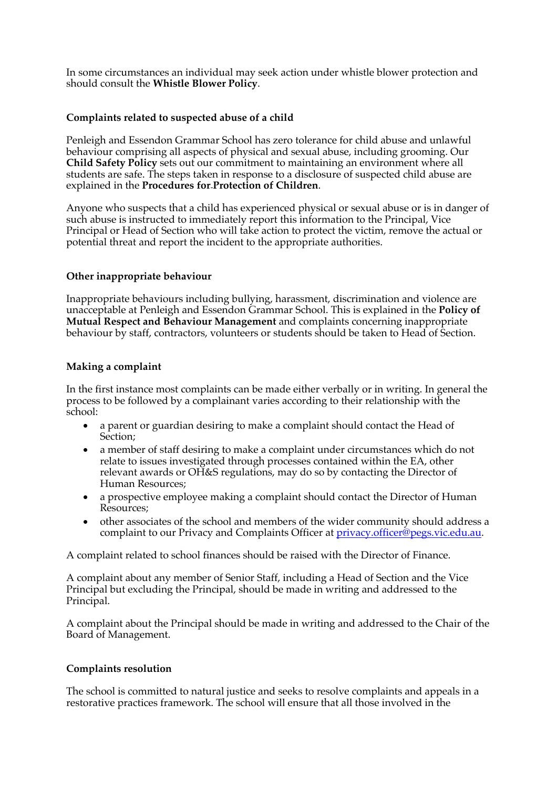In some circumstances an individual may seek action under whistle blower protection and should consult the **Whistle Blower Policy**.

# **Complaints related to suspected abuse of a child**

Penleigh and Essendon Grammar School has zero tolerance for child abuse and unlawful behaviour comprising all aspects of physical and sexual abuse, including grooming. Our **Child Safety Policy** sets out our commitment to maintaining an environment where all students are safe. The steps taken in response to a disclosure of suspected child abuse are explained in the **Procedures for Protection of Children**.

Anyone who suspects that a child has experienced physical or sexual abuse or is in danger of such abuse is instructed to immediately report this information to the Principal, Vice Principal or Head of Section who will take action to protect the victim, remove the actual or potential threat and report the incident to the appropriate authorities.

# **Other inappropriate behaviour**

Inappropriate behaviours including bullying, harassment, discrimination and violence are unacceptable at Penleigh and Essendon Grammar School. This is explained in the **Policy of Mutual Respect and Behaviour Management** and complaints concerning inappropriate behaviour by staff, contractors, volunteers or students should be taken to Head of Section.

# **Making a complaint**

In the first instance most complaints can be made either verbally or in writing. In general the process to be followed by a complainant varies according to their relationship with the school:

- a parent or guardian desiring to make a complaint should contact the Head of Section;
- a member of staff desiring to make a complaint under circumstances which do not relate to issues investigated through processes contained within the EA, other relevant awards or OH&S regulations, may do so by contacting the Director of Human Resources;
- a prospective employee making a complaint should contact the Director of Human Resources;
- other associates of the school and members of the wider community should address a complaint to our Privacy and Complaints Officer at privacy.officer@pegs.vic.edu.au.

A complaint related to school finances should be raised with the Director of Finance.

A complaint about any member of Senior Staff, including a Head of Section and the Vice Principal but excluding the Principal, should be made in writing and addressed to the Principal.

A complaint about the Principal should be made in writing and addressed to the Chair of the Board of Management.

# **Complaints resolution**

The school is committed to natural justice and seeks to resolve complaints and appeals in a restorative practices framework. The school will ensure that all those involved in the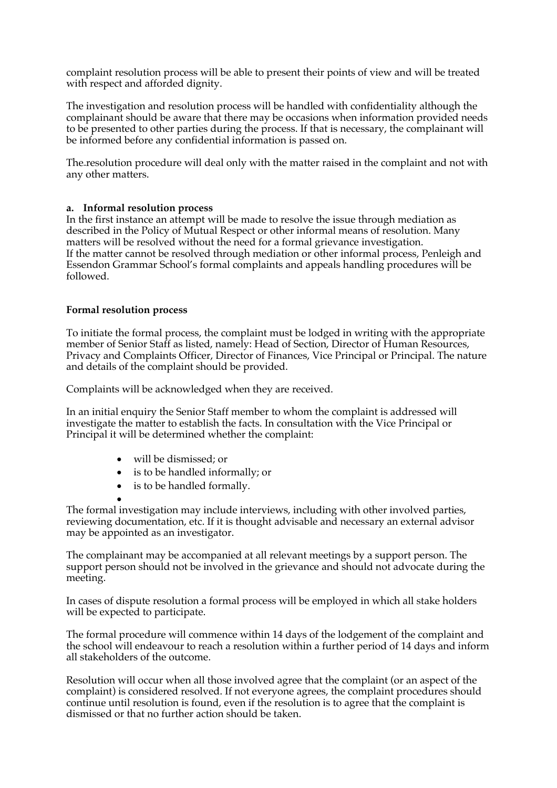complaint resolution process will be able to present their points of view and will be treated with respect and afforded dignity.

The investigation and resolution process will be handled with confidentiality although the complainant should be aware that there may be occasions when information provided needs to be presented to other parties during the process. If that is necessary, the complainant will be informed before any confidential information is passed on.

The resolution procedure will deal only with the matter raised in the complaint and not with any other matters.

# **a. Informal resolution process**

In the first instance an attempt will be made to resolve the issue through mediation as described in the Policy of Mutual Respect or other informal means of resolution. Many matters will be resolved without the need for a formal grievance investigation. If the matter cannot be resolved through mediation or other informal process, Penleigh and Essendon Grammar School's formal complaints and appeals handling procedures will be followed.

#### **Formal resolution process**

To initiate the formal process, the complaint must be lodged in writing with the appropriate member of Senior Staff as listed, namely: Head of Section, Director of Human Resources, Privacy and Complaints Officer, Director of Finances, Vice Principal or Principal. The nature and details of the complaint should be provided.

Complaints will be acknowledged when they are received.

In an initial enquiry the Senior Staff member to whom the complaint is addressed will investigate the matter to establish the facts. In consultation with the Vice Principal or Principal it will be determined whether the complaint:

- will be dismissed; or
- is to be handled informally; or
- is to be handled formally.
- The formal investigation may include interviews, including with other involved parties, reviewing documentation, etc. If it is thought advisable and necessary an external advisor may be appointed as an investigator.

The complainant may be accompanied at all relevant meetings by a support person. The support person should not be involved in the grievance and should not advocate during the meeting.

In cases of dispute resolution a formal process will be employed in which all stake holders will be expected to participate.

The formal procedure will commence within 14 days of the lodgement of the complaint and the school will endeavour to reach a resolution within a further period of 14 days and inform all stakeholders of the outcome.

Resolution will occur when all those involved agree that the complaint (or an aspect of the complaint) is considered resolved. If not everyone agrees, the complaint procedures should continue until resolution is found, even if the resolution is to agree that the complaint is dismissed or that no further action should be taken.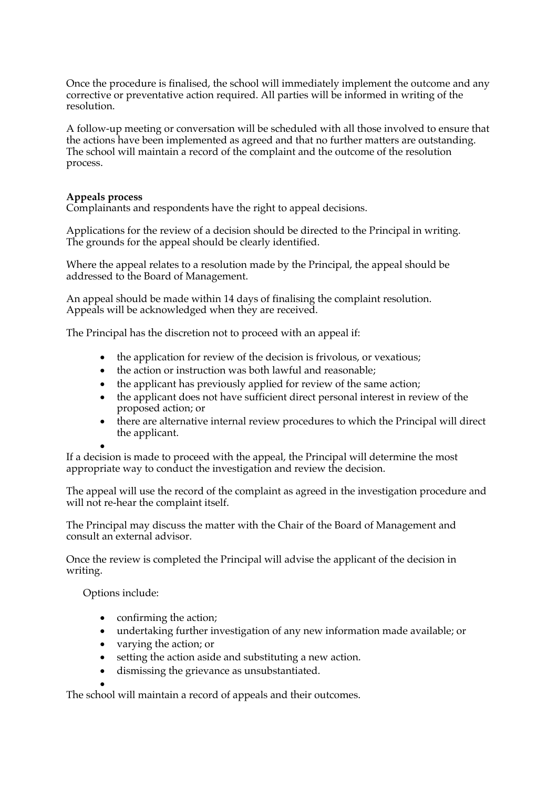Once the procedure is finalised, the school will immediately implement the outcome and any corrective or preventative action required. All parties will be informed in writing of the resolution.

A follow-up meeting or conversation will be scheduled with all those involved to ensure that the actions have been implemented as agreed and that no further matters are outstanding. The school will maintain a record of the complaint and the outcome of the resolution process.

#### **Appeals process**

Complainants and respondents have the right to appeal decisions.

Applications for the review of a decision should be directed to the Principal in writing. The grounds for the appeal should be clearly identified.

Where the appeal relates to a resolution made by the Principal, the appeal should be addressed to the Board of Management.

An appeal should be made within 14 days of finalising the complaint resolution. Appeals will be acknowledged when they are received.

The Principal has the discretion not to proceed with an appeal if:

- the application for review of the decision is frivolous, or vexatious;
- the action or instruction was both lawful and reasonable;
- the applicant has previously applied for review of the same action;
- the applicant does not have sufficient direct personal interest in review of the proposed action; or
- there are alternative internal review procedures to which the Principal will direct the applicant.

• If a decision is made to proceed with the appeal, the Principal will determine the most appropriate way to conduct the investigation and review the decision.

The appeal will use the record of the complaint as agreed in the investigation procedure and will not re-hear the complaint itself.

The Principal may discuss the matter with the Chair of the Board of Management and consult an external advisor.

Once the review is completed the Principal will advise the applicant of the decision in writing.

Options include:

- confirming the action;
- undertaking further investigation of any new information made available; or
- varying the action; or
- setting the action aside and substituting a new action.
- dismissing the grievance as unsubstantiated.

• The school will maintain a record of appeals and their outcomes.